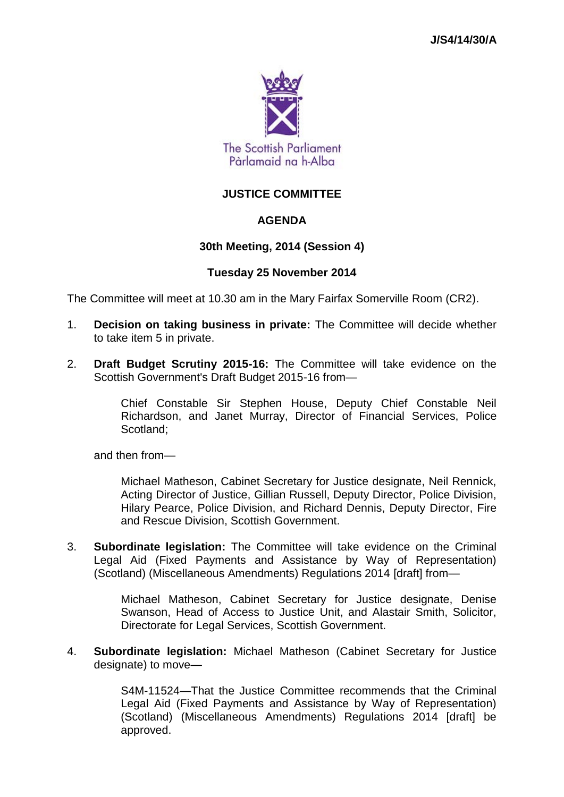

## **JUSTICE COMMITTEE**

#### **AGENDA**

#### **30th Meeting, 2014 (Session 4)**

#### **Tuesday 25 November 2014**

The Committee will meet at 10.30 am in the Mary Fairfax Somerville Room (CR2).

- 1. **Decision on taking business in private:** The Committee will decide whether to take item 5 in private.
- 2. **Draft Budget Scrutiny 2015-16:** The Committee will take evidence on the Scottish Government's Draft Budget 2015-16 from—

Chief Constable Sir Stephen House, Deputy Chief Constable Neil Richardson, and Janet Murray, Director of Financial Services, Police Scotland;

and then from—

Michael Matheson, Cabinet Secretary for Justice designate, Neil Rennick, Acting Director of Justice, Gillian Russell, Deputy Director, Police Division, Hilary Pearce, Police Division, and Richard Dennis, Deputy Director, Fire and Rescue Division, Scottish Government.

3. **Subordinate legislation:** The Committee will take evidence on the Criminal Legal Aid (Fixed Payments and Assistance by Way of Representation) (Scotland) (Miscellaneous Amendments) Regulations 2014 [draft] from—

> Michael Matheson, Cabinet Secretary for Justice designate, Denise Swanson, Head of Access to Justice Unit, and Alastair Smith, Solicitor, Directorate for Legal Services, Scottish Government.

4. **Subordinate legislation:** Michael Matheson (Cabinet Secretary for Justice designate) to move—

> S4M-11524—That the Justice Committee recommends that the Criminal Legal Aid (Fixed Payments and Assistance by Way of Representation) (Scotland) (Miscellaneous Amendments) Regulations 2014 [draft] be approved.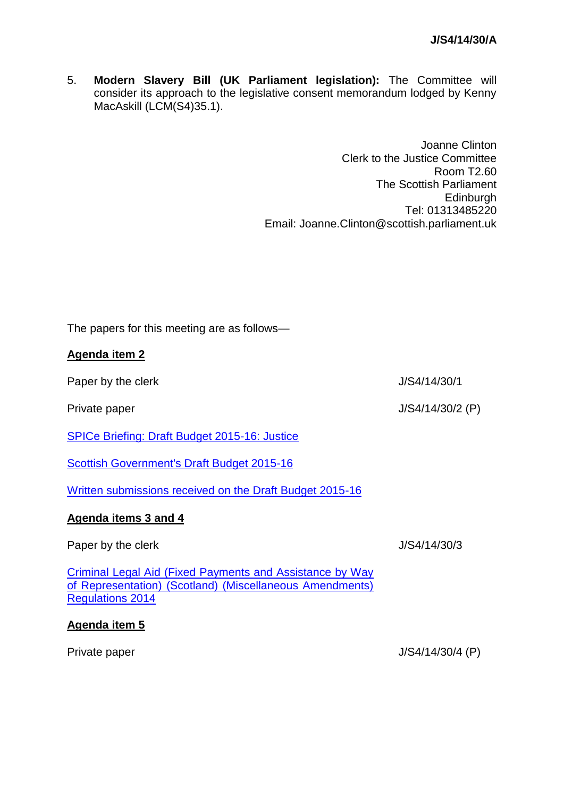5. **Modern Slavery Bill (UK Parliament legislation):** The Committee will consider its approach to the legislative consent memorandum lodged by Kenny MacAskill (LCM(S4)35.1).

> Joanne Clinton Clerk to the Justice Committee Room T2.60 The Scottish Parliament **Edinburgh** Tel: 01313485220 Email: Joanne.Clinton@scottish.parliament.uk

The papers for this meeting are as follows—

# **Agenda item 2**

Paper by the clerk J/S4/14/30/1

Private paper J/S4/14/30/2 (P)

[SPICe Briefing: Draft Budget 2015-16: Justice](http://www.scottish.parliament.uk/parliamentarybusiness/83101.aspx)

[Scottish Government's Draft Budget 2015-16](http://www.scotland.gov.uk/Topics/Government/Finance/18127)

[Written submissions received on the Draft Budget 2015-16](http://www.scottish.parliament.uk/parliamentarybusiness/CurrentCommittees/83201.aspx)

# **Agenda items 3 and 4**

Paper by the clerk J/S4/14/30/3

[Criminal Legal Aid \(Fixed Payments and Assistance by Way](http://www.legislation.gov.uk/sdsi/2014/9780111024812/contents)  [of Representation\) \(Scotland\) \(Miscellaneous Amendments\)](http://www.legislation.gov.uk/sdsi/2014/9780111024812/contents)  [Regulations 2014](http://www.legislation.gov.uk/sdsi/2014/9780111024812/contents)

# **Agenda item 5**

Private paper J/S4/14/30/4 (P)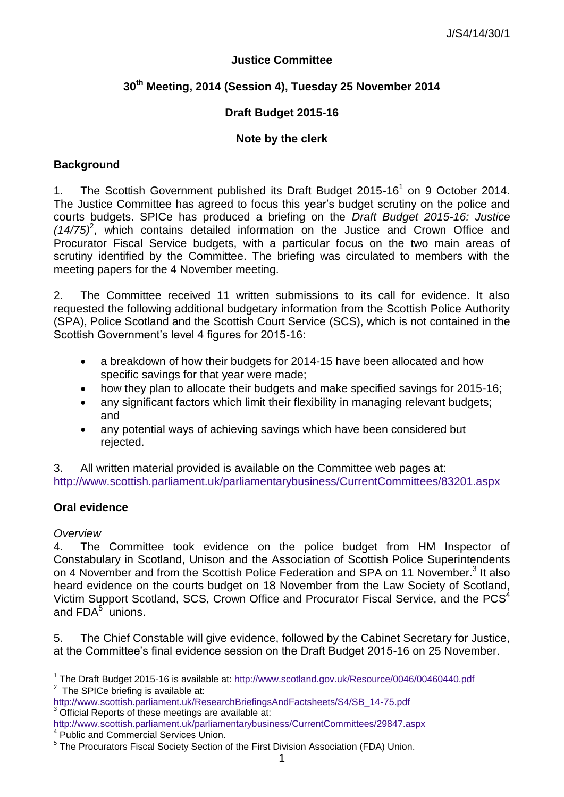#### **Justice Committee**

# **30th Meeting, 2014 (Session 4), Tuesday 25 November 2014**

## **Draft Budget 2015-16**

#### **Note by the clerk**

#### **Background**

1. The Scottish Government published its Draft Budget 2015-16<sup>1</sup> on 9 October 2014. The Justice Committee has agreed to focus this year's budget scrutiny on the police and courts budgets. SPICe has produced a briefing on the *Draft Budget 2015-16: Justice (14/75)*<sup>2</sup> , which contains detailed information on the Justice and Crown Office and Procurator Fiscal Service budgets, with a particular focus on the two main areas of scrutiny identified by the Committee. The briefing was circulated to members with the meeting papers for the 4 November meeting.

2. The Committee received 11 written submissions to its call for evidence. It also requested the following additional budgetary information from the Scottish Police Authority (SPA), Police Scotland and the Scottish Court Service (SCS), which is not contained in the Scottish Government's level 4 figures for 2015-16:

- a breakdown of how their budgets for 2014-15 have been allocated and how specific savings for that year were made;
- how they plan to allocate their budgets and make specified savings for 2015-16;
- any significant factors which limit their flexibility in managing relevant budgets; and
- any potential ways of achieving savings which have been considered but rejected.

3. All written material provided is available on the Committee web pages at: <http://www.scottish.parliament.uk/parliamentarybusiness/CurrentCommittees/83201.aspx>

#### **Oral evidence**

#### *Overview*

<u>.</u>

4. The Committee took evidence on the police budget from HM Inspector of Constabulary in Scotland, Unison and the Association of Scottish Police Superintendents on 4 November and from the Scottish Police Federation and SPA on 11 November.<sup>3</sup> It also heard evidence on the courts budget on 18 November from the Law Society of Scotland, Victim Support Scotland, SCS, Crown Office and Procurator Fiscal Service, and the PCS<sup>4</sup> and  $FDA<sup>5</sup>$  unions.

5. The Chief Constable will give evidence, followed by the Cabinet Secretary for Justice, at the Committee's final evidence session on the Draft Budget 2015-16 on 25 November.

<http://www.scottish.parliament.uk/parliamentarybusiness/CurrentCommittees/29847.aspx>

<sup>&</sup>lt;sup>1</sup> The Draft Budget 2015-16 is available at: http://www.scotland.gov.uk/Resource/0046/00460440.pdf  $2$  The SPICe briefing is available at:

[http://www.scottish.parliament.uk/ResearchBriefingsAndFactsheets/S4/SB\\_14-75.pdf](http://www.scottish.parliament.uk/ResearchBriefingsAndFactsheets/S4/SB_14-75.pdf) 3 Official Reports of these meetings are available at:

<sup>4</sup> Public and Commercial Services Union.

<sup>&</sup>lt;sup>5</sup> The Procurators Fiscal Society Section of the First Division Association (FDA) Union.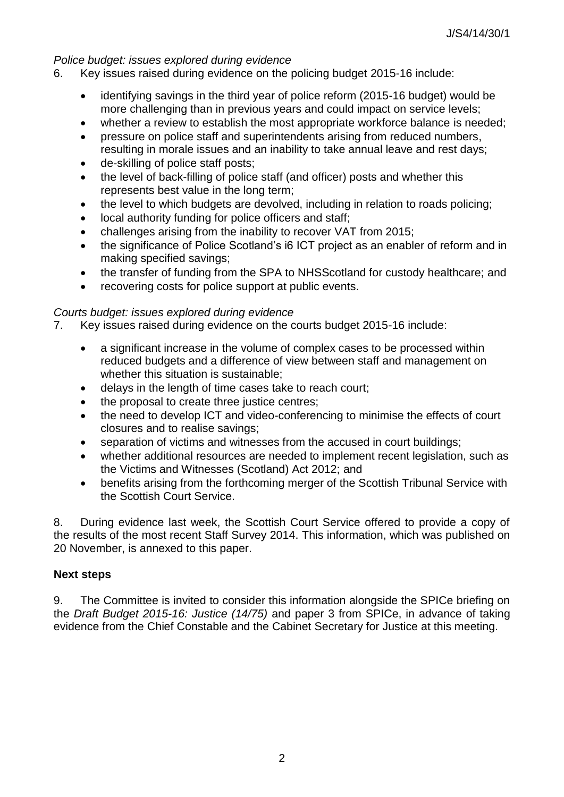## *Police budget: issues explored during evidence*

- 6. Key issues raised during evidence on the policing budget 2015-16 include:
	- identifying savings in the third year of police reform (2015-16 budget) would be more challenging than in previous years and could impact on service levels;
	- whether a review to establish the most appropriate workforce balance is needed:
	- pressure on police staff and superintendents arising from reduced numbers, resulting in morale issues and an inability to take annual leave and rest days;
	- de-skilling of police staff posts;
	- the level of back-filling of police staff (and officer) posts and whether this represents best value in the long term;
	- the level to which budgets are devolved, including in relation to roads policing;
	- local authority funding for police officers and staff;
	- challenges arising from the inability to recover VAT from 2015;
	- the significance of Police Scotland's i6 ICT project as an enabler of reform and in making specified savings;
	- the transfer of funding from the SPA to NHSScotland for custody healthcare; and
	- recovering costs for police support at public events.

#### *Courts budget: issues explored during evidence*

- 7. Key issues raised during evidence on the courts budget 2015-16 include:
	- a significant increase in the volume of complex cases to be processed within reduced budgets and a difference of view between staff and management on whether this situation is sustainable;
	- delays in the length of time cases take to reach court;
	- the proposal to create three justice centres;
	- the need to develop ICT and video-conferencing to minimise the effects of court closures and to realise savings;
	- separation of victims and witnesses from the accused in court buildings;
	- whether additional resources are needed to implement recent legislation, such as the Victims and Witnesses (Scotland) Act 2012; and
	- benefits arising from the forthcoming merger of the Scottish Tribunal Service with the Scottish Court Service.

8. During evidence last week, the Scottish Court Service offered to provide a copy of the results of the most recent Staff Survey 2014. This information, which was published on 20 November, is annexed to this paper.

#### **Next steps**

9. The Committee is invited to consider this information alongside the SPICe briefing on the *Draft Budget 2015-16: Justice (14/75)* and paper 3 from SPICe, in advance of taking evidence from the Chief Constable and the Cabinet Secretary for Justice at this meeting.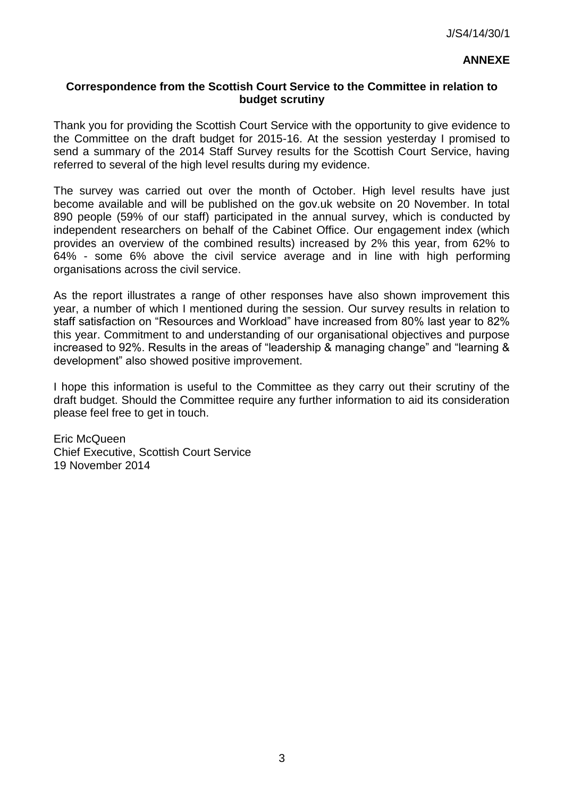## **Correspondence from the Scottish Court Service to the Committee in relation to budget scrutiny**

Thank you for providing the Scottish Court Service with the opportunity to give evidence to the Committee on the draft budget for 2015-16. At the session yesterday I promised to send a summary of the 2014 Staff Survey results for the Scottish Court Service, having referred to several of the high level results during my evidence.

The survey was carried out over the month of October. High level results have just become available and will be published on the gov.uk website on 20 November. In total 890 people (59% of our staff) participated in the annual survey, which is conducted by independent researchers on behalf of the Cabinet Office. Our engagement index (which provides an overview of the combined results) increased by 2% this year, from 62% to 64% - some 6% above the civil service average and in line with high performing organisations across the civil service.

As the report illustrates a range of other responses have also shown improvement this year, a number of which I mentioned during the session. Our survey results in relation to staff satisfaction on "Resources and Workload" have increased from 80% last year to 82% this year. Commitment to and understanding of our organisational objectives and purpose increased to 92%. Results in the areas of "leadership & managing change" and "learning & development" also showed positive improvement.

I hope this information is useful to the Committee as they carry out their scrutiny of the draft budget. Should the Committee require any further information to aid its consideration please feel free to get in touch.

Eric McQueen Chief Executive, Scottish Court Service 19 November 2014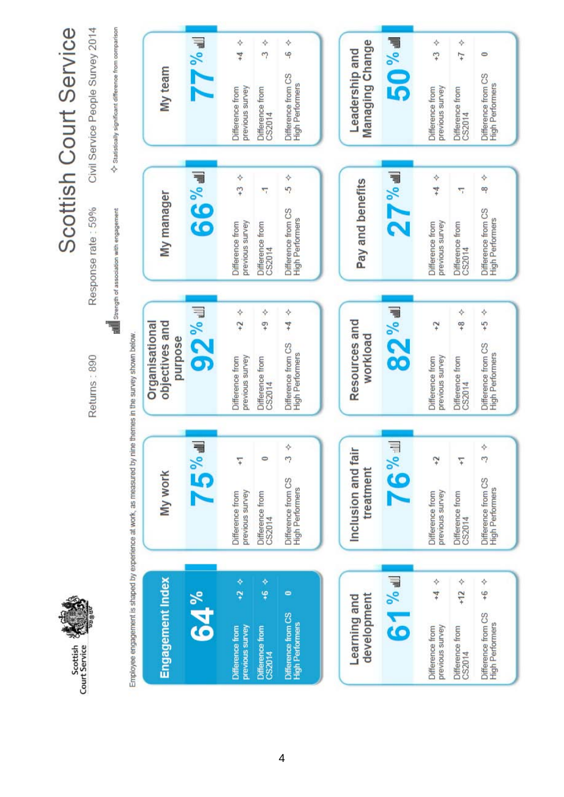

# Scottish Court Service

Returns: 890

Civil Service People Survey 2014 Response rate: 59%

ा<br>ह्या Strength of association with engagement

♦ Statistically significant difference from comparison

| My team                                                                                                                               | $\blacksquare$  | ♦<br>$^{+4}$<br>previous survey<br>Difference from        | ♦<br>$\tilde{z}$<br>Difference from<br>CS2014 | ♦<br>ې<br>Difference from CS<br><b>High Performers</b>    | Managing Change<br>Leadership and | <b>Pexa 02</b>                                     | ♦<br>$\ddot{ }$<br>previous survey<br>Difference from | ♦<br>$\overline{1}$<br>Difference from<br>CS2014    | $\bullet$<br>Difference from CS<br><b>High Performers</b> |
|---------------------------------------------------------------------------------------------------------------------------------------|-----------------|-----------------------------------------------------------|-----------------------------------------------|-----------------------------------------------------------|-----------------------------------|----------------------------------------------------|-------------------------------------------------------|-----------------------------------------------------|-----------------------------------------------------------|
| My manager                                                                                                                            | <b>IF % 99</b>  | ♦<br>$\overline{r}$<br>previous survey<br>Difference from | П<br>Difference from<br>CS2014                | ♦<br>5<br>Difference from CS<br>High Performers           | Pay and benefits                  | $\overline{\mathbf{z}^{\mathcal{N}_{\text{out}}}}$ | ♦<br>$^{+4}$<br>previous survey<br>Difference from    | 77<br>Difference from<br>CS2014                     | ♦<br>œ<br>Difference from CS<br><b>High Performers</b>    |
| Organisational<br>objectives and<br>purpose                                                                                           | <b>92 % all</b> | ♦<br>$\ddot{t}$<br>previous survey<br>Difference from     | ♦<br>ç,<br>Difference from<br>CS2014          | ♦<br>$^{+4}$<br>Difference from CS<br>High Performers     | Resources and<br>workload         | <b>B2</b> %                                        | $\ddot{ }$<br>previous survey<br>Difference from      | ❖<br>$\frac{8}{1}$<br>Difference from<br>CS2014     | $+5$ $+5$<br>Difference from CS<br>High Performers        |
| My work                                                                                                                               | <b>IF%2/</b>    | 7<br>previous survey<br>Difference from                   | $\circ$<br>Difference from<br>CS2014          | ❖<br>P<br>Difference from CS<br>High Performers           | Inclusion and fair<br>treatment   | <b>IF % 91</b>                                     | $\ddot{t}$<br>previous survey<br>Difference from      | 7<br>Difference from<br>CS2014                      | Ŷ<br>07<br>Difference from CS<br>High Performers          |
| Employee engagement is shaped by experience at work, as measured by nine themes in the survey shown below.<br><b>Engagement Index</b> | <b>64%</b>      | Ŷ<br>Ģ<br>previous survey<br>Difference from              | Ŷ<br>÷<br>Difference from<br>CS2014           | $\bullet$<br>Difference from CS<br><b>High Performers</b> | development<br>Learning and       | <b>PE % LO</b>                                     | ❖<br>$+4$<br>Difference from<br>previous survey       | +12 $\rightsquigarrow$<br>Difference from<br>CS2014 | $+6$ 4<br>Difference from CS<br>High Performers           |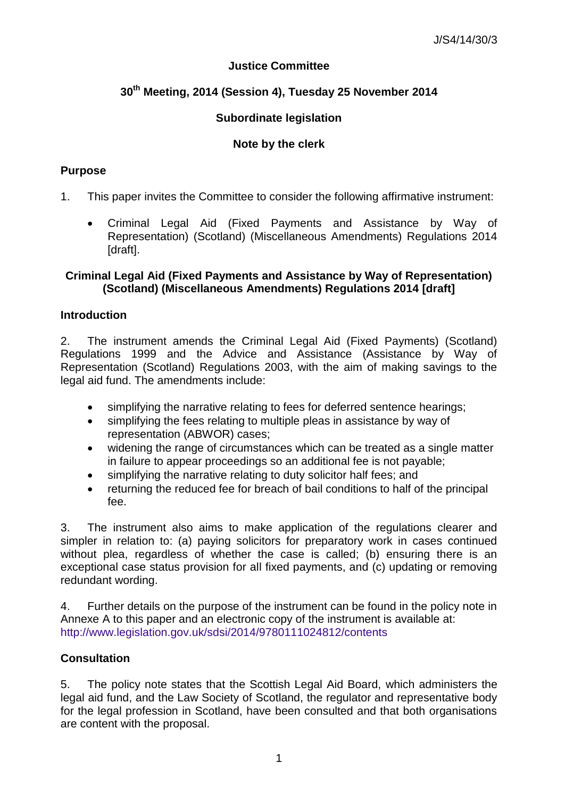# **Justice Committee**

# **30th Meeting, 2014 (Session 4), Tuesday 25 November 2014**

# **Subordinate legislation**

# **Note by the clerk**

## **Purpose**

- 1. This paper invites the Committee to consider the following affirmative instrument:
	- Criminal Legal Aid (Fixed Payments and Assistance by Way of Representation) (Scotland) (Miscellaneous Amendments) Regulations 2014 [draft].

## **Criminal Legal Aid (Fixed Payments and Assistance by Way of Representation) (Scotland) (Miscellaneous Amendments) Regulations 2014 [draft]**

# **Introduction**

2. The instrument amends the Criminal Legal Aid (Fixed Payments) (Scotland) Regulations 1999 and the Advice and Assistance (Assistance by Way of Representation (Scotland) Regulations 2003, with the aim of making savings to the legal aid fund. The amendments include:

- simplifying the narrative relating to fees for deferred sentence hearings;
- simplifying the fees relating to multiple pleas in assistance by way of representation (ABWOR) cases;
- widening the range of circumstances which can be treated as a single matter in failure to appear proceedings so an additional fee is not payable;
- simplifying the narrative relating to duty solicitor half fees; and
- returning the reduced fee for breach of bail conditions to half of the principal fee.

3. The instrument also aims to make application of the regulations clearer and simpler in relation to: (a) paying solicitors for preparatory work in cases continued without plea, regardless of whether the case is called; (b) ensuring there is an exceptional case status provision for all fixed payments, and (c) updating or removing redundant wording.

4. Further details on the purpose of the instrument can be found in the policy note in Annexe A to this paper and an electronic copy of the instrument is available at: <http://www.legislation.gov.uk/sdsi/2014/9780111024812/contents>

# **Consultation**

5. The policy note states that the Scottish Legal Aid Board, which administers the legal aid fund, and the Law Society of Scotland, the regulator and representative body for the legal profession in Scotland, have been consulted and that both organisations are content with the proposal.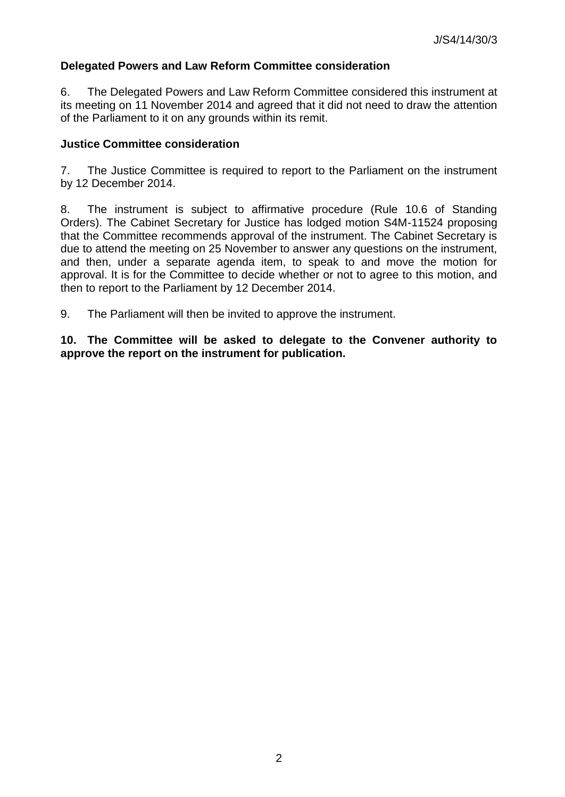# **Delegated Powers and Law Reform Committee consideration**

6. The Delegated Powers and Law Reform Committee considered this instrument at its meeting on 11 November 2014 and agreed that it did not need to draw the attention of the Parliament to it on any grounds within its remit.

## **Justice Committee consideration**

7. The Justice Committee is required to report to the Parliament on the instrument by 12 December 2014.

8. The instrument is subject to affirmative procedure (Rule 10.6 of Standing Orders). The Cabinet Secretary for Justice has lodged motion S4M-11524 proposing that the Committee recommends approval of the instrument. The Cabinet Secretary is due to attend the meeting on 25 November to answer any questions on the instrument, and then, under a separate agenda item, to speak to and move the motion for approval. It is for the Committee to decide whether or not to agree to this motion, and then to report to the Parliament by 12 December 2014.

9. The Parliament will then be invited to approve the instrument.

**10. The Committee will be asked to delegate to the Convener authority to approve the report on the instrument for publication.**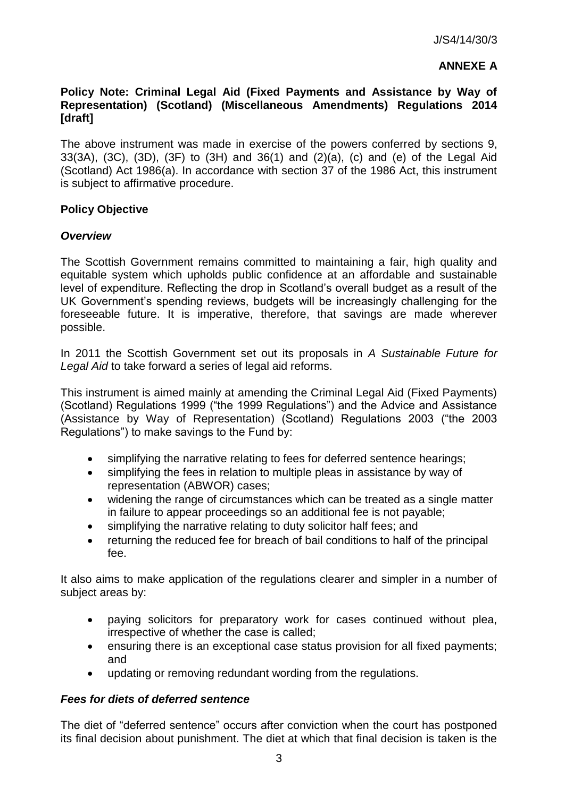## **ANNEXE A**

## **Policy Note: Criminal Legal Aid (Fixed Payments and Assistance by Way of Representation) (Scotland) (Miscellaneous Amendments) Regulations 2014 [draft]**

The above instrument was made in exercise of the powers conferred by sections 9, 33(3A), (3C), (3D), (3F) to (3H) and 36(1) and (2)(a), (c) and (e) of the Legal Aid (Scotland) Act 1986(a). In accordance with section 37 of the 1986 Act, this instrument is subject to affirmative procedure.

## **Policy Objective**

#### *Overview*

The Scottish Government remains committed to maintaining a fair, high quality and equitable system which upholds public confidence at an affordable and sustainable level of expenditure. Reflecting the drop in Scotland's overall budget as a result of the UK Government's spending reviews, budgets will be increasingly challenging for the foreseeable future. It is imperative, therefore, that savings are made wherever possible.

In 2011 the Scottish Government set out its proposals in *A Sustainable Future for Legal Aid* to take forward a series of legal aid reforms.

This instrument is aimed mainly at amending the Criminal Legal Aid (Fixed Payments) (Scotland) Regulations 1999 ("the 1999 Regulations") and the Advice and Assistance (Assistance by Way of Representation) (Scotland) Regulations 2003 ("the 2003 Regulations") to make savings to the Fund by:

- simplifying the narrative relating to fees for deferred sentence hearings;
- simplifying the fees in relation to multiple pleas in assistance by way of representation (ABWOR) cases;
- widening the range of circumstances which can be treated as a single matter in failure to appear proceedings so an additional fee is not payable;
- simplifying the narrative relating to duty solicitor half fees; and
- returning the reduced fee for breach of bail conditions to half of the principal fee.

It also aims to make application of the regulations clearer and simpler in a number of subject areas by:

- paying solicitors for preparatory work for cases continued without plea, irrespective of whether the case is called;
- ensuring there is an exceptional case status provision for all fixed payments; and
- updating or removing redundant wording from the regulations.

#### *Fees for diets of deferred sentence*

The diet of "deferred sentence" occurs after conviction when the court has postponed its final decision about punishment. The diet at which that final decision is taken is the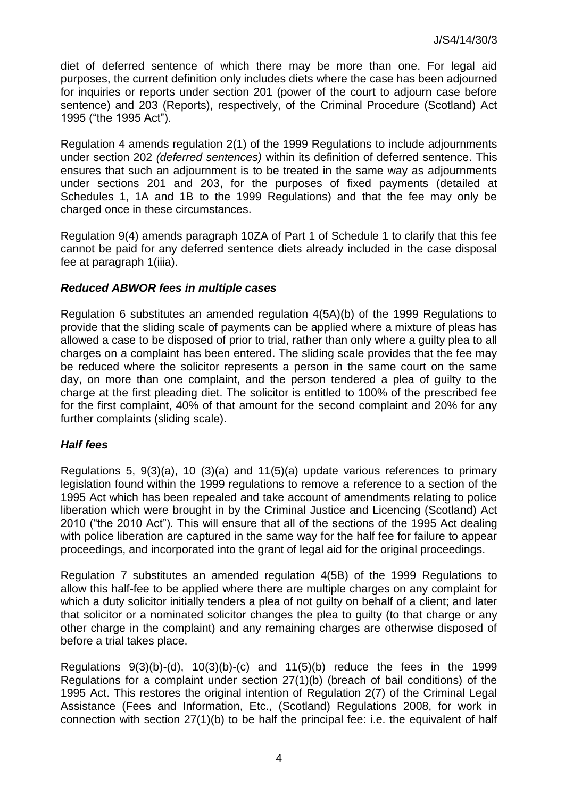diet of deferred sentence of which there may be more than one. For legal aid purposes, the current definition only includes diets where the case has been adjourned for inquiries or reports under section 201 (power of the court to adjourn case before sentence) and 203 (Reports), respectively, of the Criminal Procedure (Scotland) Act 1995 ("the 1995 Act").

Regulation 4 amends regulation 2(1) of the 1999 Regulations to include adjournments under section 202 *(deferred sentences)* within its definition of deferred sentence. This ensures that such an adjournment is to be treated in the same way as adjournments under sections 201 and 203, for the purposes of fixed payments (detailed at Schedules 1, 1A and 1B to the 1999 Regulations) and that the fee may only be charged once in these circumstances.

Regulation 9(4) amends paragraph 10ZA of Part 1 of Schedule 1 to clarify that this fee cannot be paid for any deferred sentence diets already included in the case disposal fee at paragraph 1(iiia).

## *Reduced ABWOR fees in multiple cases*

Regulation 6 substitutes an amended regulation 4(5A)(b) of the 1999 Regulations to provide that the sliding scale of payments can be applied where a mixture of pleas has allowed a case to be disposed of prior to trial, rather than only where a guilty plea to all charges on a complaint has been entered. The sliding scale provides that the fee may be reduced where the solicitor represents a person in the same court on the same day, on more than one complaint, and the person tendered a plea of guilty to the charge at the first pleading diet. The solicitor is entitled to 100% of the prescribed fee for the first complaint, 40% of that amount for the second complaint and 20% for any further complaints (sliding scale).

# *Half fees*

Regulations 5, 9(3)(a), 10 (3)(a) and 11(5)(a) update various references to primary legislation found within the 1999 regulations to remove a reference to a section of the 1995 Act which has been repealed and take account of amendments relating to police liberation which were brought in by the Criminal Justice and Licencing (Scotland) Act 2010 ("the 2010 Act"). This will ensure that all of the sections of the 1995 Act dealing with police liberation are captured in the same way for the half fee for failure to appear proceedings, and incorporated into the grant of legal aid for the original proceedings.

Regulation 7 substitutes an amended regulation 4(5B) of the 1999 Regulations to allow this half-fee to be applied where there are multiple charges on any complaint for which a duty solicitor initially tenders a plea of not guilty on behalf of a client; and later that solicitor or a nominated solicitor changes the plea to guilty (to that charge or any other charge in the complaint) and any remaining charges are otherwise disposed of before a trial takes place.

Regulations  $9(3)(b)-(d)$ ,  $10(3)(b)-(c)$  and  $11(5)(b)$  reduce the fees in the 1999 Regulations for a complaint under section 27(1)(b) (breach of bail conditions) of the 1995 Act. This restores the original intention of Regulation 2(7) of the Criminal Legal Assistance (Fees and Information, Etc., (Scotland) Regulations 2008, for work in connection with section 27(1)(b) to be half the principal fee: i.e. the equivalent of half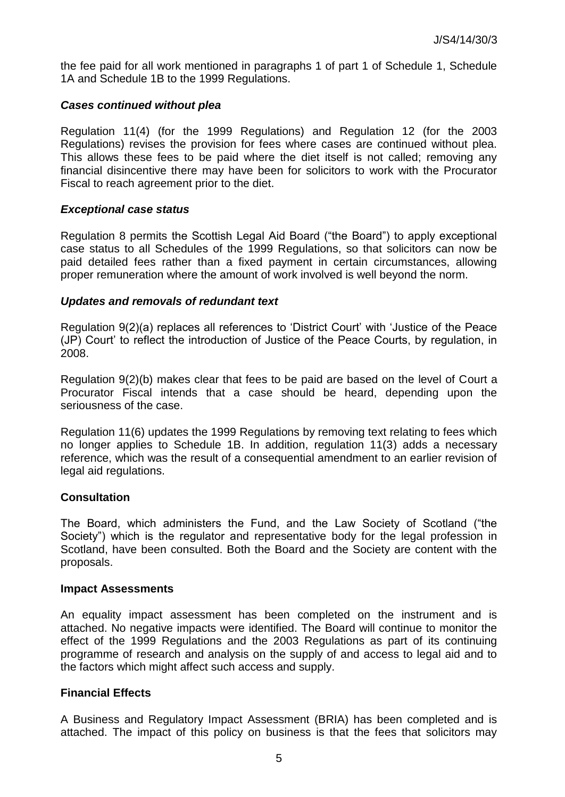the fee paid for all work mentioned in paragraphs 1 of part 1 of Schedule 1, Schedule 1A and Schedule 1B to the 1999 Regulations.

#### *Cases continued without plea*

Regulation 11(4) (for the 1999 Regulations) and Regulation 12 (for the 2003 Regulations) revises the provision for fees where cases are continued without plea. This allows these fees to be paid where the diet itself is not called; removing any financial disincentive there may have been for solicitors to work with the Procurator Fiscal to reach agreement prior to the diet.

## *Exceptional case status*

Regulation 8 permits the Scottish Legal Aid Board ("the Board") to apply exceptional case status to all Schedules of the 1999 Regulations, so that solicitors can now be paid detailed fees rather than a fixed payment in certain circumstances, allowing proper remuneration where the amount of work involved is well beyond the norm.

## *Updates and removals of redundant text*

Regulation 9(2)(a) replaces all references to 'District Court' with 'Justice of the Peace (JP) Court' to reflect the introduction of Justice of the Peace Courts, by regulation, in 2008.

Regulation 9(2)(b) makes clear that fees to be paid are based on the level of Court a Procurator Fiscal intends that a case should be heard, depending upon the seriousness of the case.

Regulation 11(6) updates the 1999 Regulations by removing text relating to fees which no longer applies to Schedule 1B. In addition, regulation 11(3) adds a necessary reference, which was the result of a consequential amendment to an earlier revision of legal aid regulations.

# **Consultation**

The Board, which administers the Fund, and the Law Society of Scotland ("the Society") which is the regulator and representative body for the legal profession in Scotland, have been consulted. Both the Board and the Society are content with the proposals.

#### **Impact Assessments**

An equality impact assessment has been completed on the instrument and is attached. No negative impacts were identified. The Board will continue to monitor the effect of the 1999 Regulations and the 2003 Regulations as part of its continuing programme of research and analysis on the supply of and access to legal aid and to the factors which might affect such access and supply.

# **Financial Effects**

A Business and Regulatory Impact Assessment (BRIA) has been completed and is attached. The impact of this policy on business is that the fees that solicitors may